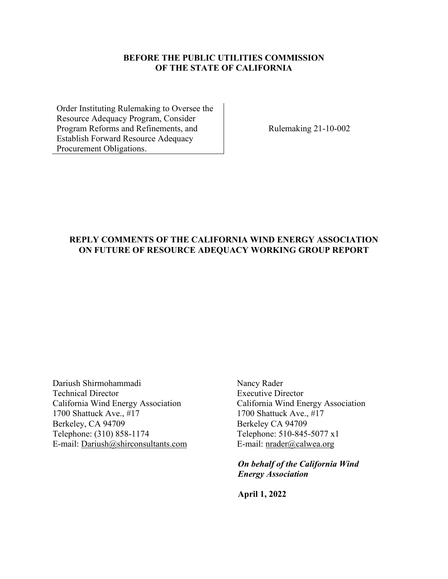## **BEFORE THE PUBLIC UTILITIES COMMISSION OF THE STATE OF CALIFORNIA**

Order Instituting Rulemaking to Oversee the Resource Adequacy Program, Consider Program Reforms and Refinements, and Establish Forward Resource Adequacy Procurement Obligations.

Rulemaking 21-10-002

## **REPLY COMMENTS OF THE CALIFORNIA WIND ENERGY ASSOCIATION ON FUTURE OF RESOURCE ADEQUACY WORKING GROUP REPORT**

Dariush Shirmohammadi Nancy Rader Technical DirectorExecutive Director California Wind Energy Association California Wind Energy Association 1700 Shattuck Ave., #17 1700 Shattuck Ave., #17 Berkeley, CA 94709 Berkeley CA 94709 Telephone: (310) 858-1174 Telephone: 510-845-5077 x1 E-mail: [Dariush@shirconsultants.com](mailto:Dariush@shirconsultants.com) E-mail: nrader@calwea.org

 *On behalf of the California Wind Energy Association* 

 **April 1, 2022**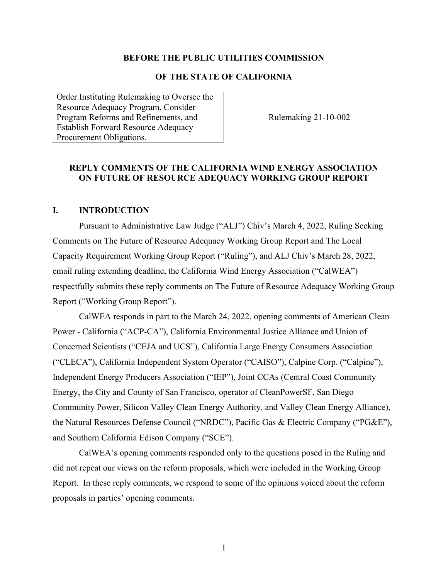#### **BEFORE THE PUBLIC UTILITIES COMMISSION**

#### **OF THE STATE OF CALIFORNIA**

Order Instituting Rulemaking to Oversee the Resource Adequacy Program, Consider Program Reforms and Refinements, and Establish Forward Resource Adequacy Procurement Obligations.

Rulemaking 21-10-002

#### **REPLY COMMENTS OF THE CALIFORNIA WIND ENERGY ASSOCIATION ON FUTURE OF RESOURCE ADEQUACY WORKING GROUP REPORT**

#### **I. INTRODUCTION**

Pursuant to Administrative Law Judge ("ALJ") Chiv's March 4, 2022, Ruling Seeking Comments on The Future of Resource Adequacy Working Group Report and The Local Capacity Requirement Working Group Report ("Ruling"), and ALJ Chiv's March 28, 2022, email ruling extending deadline, the California Wind Energy Association ("CalWEA") respectfully submits these reply comments on The Future of Resource Adequacy Working Group Report ("Working Group Report").

CalWEA responds in part to the March 24, 2022, opening comments of American Clean Power - California ("ACP-CA"), California Environmental Justice Alliance and Union of Concerned Scientists ("CEJA and UCS"), California Large Energy Consumers Association ("CLECA"), California Independent System Operator ("CAISO"), Calpine Corp. ("Calpine"), Independent Energy Producers Association ("IEP"), Joint CCAs (Central Coast Community Energy, the City and County of San Francisco, operator of CleanPowerSF, San Diego Community Power, Silicon Valley Clean Energy Authority, and Valley Clean Energy Alliance), the Natural Resources Defense Council ("NRDC"), Pacific Gas & Electric Company ("PG&E"), and Southern California Edison Company ("SCE").

CalWEA's opening comments responded only to the questions posed in the Ruling and did not repeat our views on the reform proposals, which were included in the Working Group Report. In these reply comments, we respond to some of the opinions voiced about the reform proposals in parties' opening comments.

1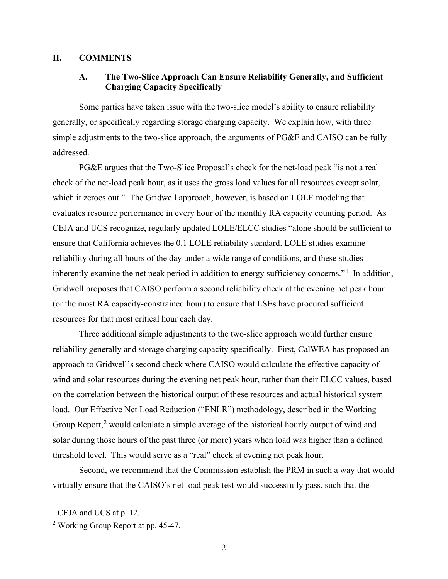#### **II. COMMENTS**

# **A. The Two-Slice Approach Can Ensure Reliability Generally, and Sufficient Charging Capacity Specifically**

Some parties have taken issue with the two-slice model's ability to ensure reliability generally, or specifically regarding storage charging capacity. We explain how, with three simple adjustments to the two-slice approach, the arguments of PG&E and CAISO can be fully addressed.

PG&E argues that the Two-Slice Proposal's check for the net-load peak "is not a real check of the net-load peak hour, as it uses the gross load values for all resources except solar, which it zeroes out." The Gridwell approach, however, is based on LOLE modeling that evaluates resource performance in every hour of the monthly RA capacity counting period. As CEJA and UCS recognize, regularly updated LOLE/ELCC studies "alone should be sufficient to ensure that California achieves the 0.1 LOLE reliability standard. LOLE studies examine reliability during all hours of the day under a wide range of conditions, and these studies inherently examine the net peak period in addition to energy sufficiency concerns."<sup>[1](#page-2-0)</sup> In addition, Gridwell proposes that CAISO perform a second reliability check at the evening net peak hour (or the most RA capacity-constrained hour) to ensure that LSEs have procured sufficient resources for that most critical hour each day.

Three additional simple adjustments to the two-slice approach would further ensure reliability generally and storage charging capacity specifically. First, CalWEA has proposed an approach to Gridwell's second check where CAISO would calculate the effective capacity of wind and solar resources during the evening net peak hour, rather than their ELCC values, based on the correlation between the historical output of these resources and actual historical system load. Our Effective Net Load Reduction ("ENLR") methodology, described in the Working Group Report,<sup>[2](#page-2-1)</sup> would calculate a simple average of the historical hourly output of wind and solar during those hours of the past three (or more) years when load was higher than a defined threshold level. This would serve as a "real" check at evening net peak hour.

Second, we recommend that the Commission establish the PRM in such a way that would virtually ensure that the CAISO's net load peak test would successfully pass, such that the

<span id="page-2-0"></span> $<sup>1</sup>$  CEJA and UCS at p. 12.</sup>

<span id="page-2-1"></span><sup>&</sup>lt;sup>2</sup> Working Group Report at pp. 45-47.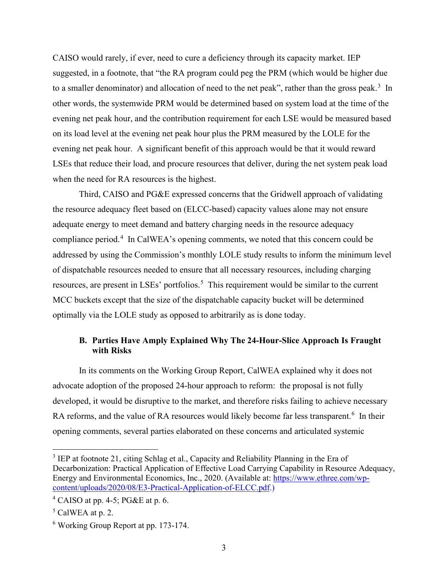CAISO would rarely, if ever, need to cure a deficiency through its capacity market. IEP suggested, in a footnote, that "the RA program could peg the PRM (which would be higher due to a smaller denominator) and allocation of need to the net peak", rather than the gross peak.<sup>[3](#page-3-0)</sup> In other words, the systemwide PRM would be determined based on system load at the time of the evening net peak hour, and the contribution requirement for each LSE would be measured based on its load level at the evening net peak hour plus the PRM measured by the LOLE for the evening net peak hour. A significant benefit of this approach would be that it would reward LSEs that reduce their load, and procure resources that deliver, during the net system peak load when the need for RA resources is the highest.

Third, CAISO and PG&E expressed concerns that the Gridwell approach of validating the resource adequacy fleet based on (ELCC-based) capacity values alone may not ensure adequate energy to meet demand and battery charging needs in the resource adequacy compliance period.<sup>[4](#page-3-1)</sup> In CalWEA's opening comments, we noted that this concern could be addressed by using the Commission's monthly LOLE study results to inform the minimum level of dispatchable resources needed to ensure that all necessary resources, including charging resources, are present in LSEs' portfolios.<sup>[5](#page-3-2)</sup> This requirement would be similar to the current MCC buckets except that the size of the dispatchable capacity bucket will be determined optimally via the LOLE study as opposed to arbitrarily as is done today.

### **B. Parties Have Amply Explained Why The 24-Hour-Slice Approach Is Fraught with Risks**

In its comments on the Working Group Report, CalWEA explained why it does not advocate adoption of the proposed 24-hour approach to reform: the proposal is not fully developed, it would be disruptive to the market, and therefore risks failing to achieve necessary RA reforms, and the value of RA resources would likely become far less transparent.<sup>[6](#page-3-3)</sup> In their opening comments, several parties elaborated on these concerns and articulated systemic

<span id="page-3-0"></span><sup>&</sup>lt;sup>3</sup> IEP at footnote 21, citing Schlag et al., Capacity and Reliability Planning in the Era of Decarbonization: Practical Application of Effective Load Carrying Capability in Resource Adequacy, Energy and Environmental Economics, Inc., 2020. (Available at: [https://www.ethree.com/wp](https://www.ethree.com/wp-content/uploads/2020/08/E3-Practical-Application-of-ELCC.pdf)[content/uploads/2020/08/E3-Practical-Application-of-ELCC.pdf.](https://www.ethree.com/wp-content/uploads/2020/08/E3-Practical-Application-of-ELCC.pdf))

<span id="page-3-1"></span> $4$  CAISO at pp. 4-5; PG&E at p. 6.

<span id="page-3-2"></span> $<sup>5</sup>$  CalWEA at p. 2.</sup>

<span id="page-3-3"></span><sup>6</sup> Working Group Report at pp. 173-174.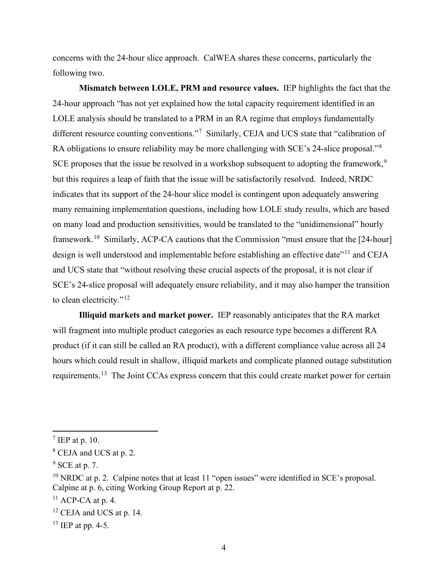concerns with the 24-hour slice approach. CalWEA shares these concerns, particularly the following two.

**Mismatch between LOLE, PRM and resource values.** IEP highlights the fact that the 24-hour approach "has not yet explained how the total capacity requirement identified in an LOLE analysis should be translated to a PRM in an RA regime that employs fundamentally different resource counting conventions."<sup>[7](#page-4-0)</sup> Similarly, CEJA and UCS state that "calibration of RA obligations to ensure reliability may be more challenging with SCE's 24-slice proposal."<sup>[8](#page-4-1)</sup> SCE proposes that the issue be resolved in a workshop subsequent to adopting the framework,<sup>[9](#page-4-2)</sup> but this requires a leap of faith that the issue will be satisfactorily resolved. Indeed, NRDC indicates that its support of the 24-hour slice model is contingent upon adequately answering many remaining implementation questions, including how LOLE study results, which are based on many load and production sensitivities, would be translated to the "unidimensional" hourly framework.<sup>[10](#page-4-3)</sup> Similarly, ACP-CA cautions that the Commission "must ensure that the [24-hour] design is well understood and implementable before establishing an effective date"<sup>[11](#page-4-4)</sup> and CEJA and UCS state that "without resolving these crucial aspects of the proposal, it is not clear if SCE's 24-slice proposal will adequately ensure reliability, and it may also hamper the transition to clean electricity."<sup>[12](#page-4-5)</sup>

**Illiquid markets and market power.** IEP reasonably anticipates that the RA market will fragment into multiple product categories as each resource type becomes a different RA product (if it can still be called an RA product), with a different compliance value across all 24 hours which could result in shallow, illiquid markets and complicate planned outage substitution requirements.[13](#page-4-6) The Joint CCAs express concern that this could create market power for certain

<span id="page-4-0"></span> $^7$  IEP at p. 10.

<span id="page-4-1"></span><sup>&</sup>lt;sup>8</sup> CEJA and UCS at p. 2.

<span id="page-4-2"></span> $9$  SCE at p. 7.

<span id="page-4-3"></span> $10$  NRDC at p. 2. Calpine notes that at least 11 "open issues" were identified in SCE's proposal. Calpine at p. 6, citing Working Group Report at p. 22.

<span id="page-4-4"></span> $11$  ACP-CA at p. 4.

<span id="page-4-5"></span> $12$  CEJA and UCS at p. 14.

<span id="page-4-6"></span> $^{13}$  IEP at pp. 4-5.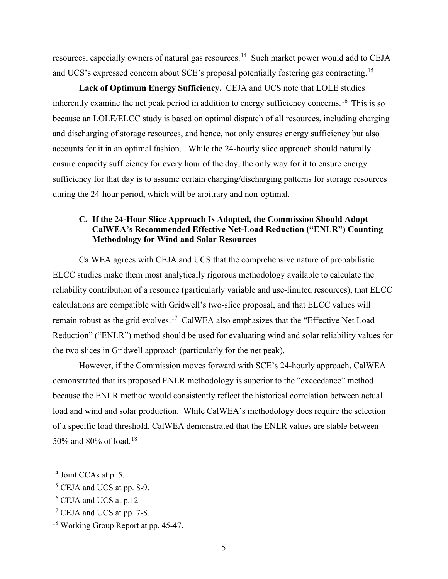resources, especially owners of natural gas resources.[14](#page-5-0) Such market power would add to CEJA and UCS's expressed concern about SCE's proposal potentially fostering gas contracting.<sup>[15](#page-5-1)</sup>

**Lack of Optimum Energy Sufficiency.** CEJA and UCS note that LOLE studies inherently examine the net peak period in addition to energy sufficiency concerns.<sup>[16](#page-5-2)</sup> This is so because an LOLE/ELCC study is based on optimal dispatch of all resources, including charging and discharging of storage resources, and hence, not only ensures energy sufficiency but also accounts for it in an optimal fashion. While the 24-hourly slice approach should naturally ensure capacity sufficiency for every hour of the day, the only way for it to ensure energy sufficiency for that day is to assume certain charging/discharging patterns for storage resources during the 24-hour period, which will be arbitrary and non-optimal.

## **C. If the 24-Hour Slice Approach Is Adopted, the Commission Should Adopt CalWEA's Recommended Effective Net-Load Reduction ("ENLR") Counting Methodology for Wind and Solar Resources**

CalWEA agrees with CEJA and UCS that the comprehensive nature of probabilistic ELCC studies make them most analytically rigorous methodology available to calculate the reliability contribution of a resource (particularly variable and use-limited resources), that ELCC calculations are compatible with Gridwell's two-slice proposal, and that ELCC values will remain robust as the grid evolves.<sup>17</sup> CalWEA also emphasizes that the "Effective Net Load" Reduction" ("ENLR") method should be used for evaluating wind and solar reliability values for the two slices in Gridwell approach (particularly for the net peak).

However, if the Commission moves forward with SCE's 24-hourly approach, CalWEA demonstrated that its proposed ENLR methodology is superior to the "exceedance" method because the ENLR method would consistently reflect the historical correlation between actual load and wind and solar production. While CalWEA's methodology does require the selection of a specific load threshold, CalWEA demonstrated that the ENLR values are stable between 50% and 80% of load.<sup>18</sup>

<span id="page-5-0"></span><sup>&</sup>lt;sup>14</sup> Joint CCAs at p. 5.

<span id="page-5-1"></span><sup>&</sup>lt;sup>15</sup> CEJA and UCS at pp. 8-9.

<span id="page-5-2"></span><sup>&</sup>lt;sup>16</sup> CEJA and UCS at p.12

<span id="page-5-3"></span><sup>&</sup>lt;sup>17</sup> CEJA and UCS at pp. 7-8.

<span id="page-5-4"></span><sup>&</sup>lt;sup>18</sup> Working Group Report at pp. 45-47.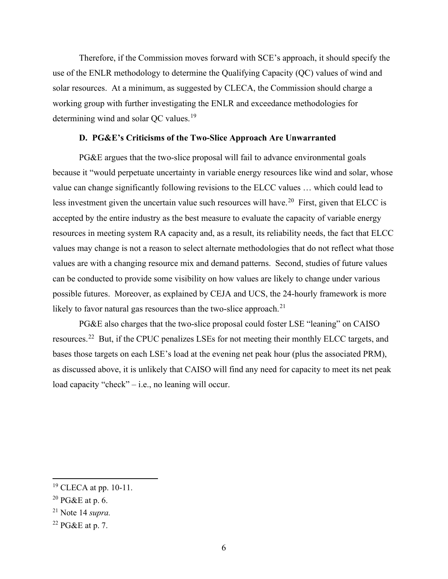Therefore, if the Commission moves forward with SCE's approach, it should specify the use of the ENLR methodology to determine the Qualifying Capacity (QC) values of wind and solar resources. At a minimum, as suggested by CLECA, the Commission should charge a working group with further investigating the ENLR and exceedance methodologies for determining wind and solar OC values.<sup>[19](#page-6-0)</sup>

#### **D. PG&E's Criticisms of the Two-Slice Approach Are Unwarranted**

PG&E argues that the two-slice proposal will fail to advance environmental goals because it "would perpetuate uncertainty in variable energy resources like wind and solar, whose value can change significantly following revisions to the ELCC values … which could lead to less investment given the uncertain value such resources will have.<sup>[20](#page-6-1)</sup> First, given that ELCC is accepted by the entire industry as the best measure to evaluate the capacity of variable energy resources in meeting system RA capacity and, as a result, its reliability needs, the fact that ELCC values may change is not a reason to select alternate methodologies that do not reflect what those values are with a changing resource mix and demand patterns. Second, studies of future values can be conducted to provide some visibility on how values are likely to change under various possible futures. Moreover, as explained by CEJA and UCS, the 24-hourly framework is more likely to favor natural gas resources than the two-slice approach. $21$ 

PG&E also charges that the two-slice proposal could foster LSE "leaning" on CAISO resources.[22](#page-6-3) But, if the CPUC penalizes LSEs for not meeting their monthly ELCC targets, and bases those targets on each LSE's load at the evening net peak hour (plus the associated PRM), as discussed above, it is unlikely that CAISO will find any need for capacity to meet its net peak load capacity "check" – i.e., no leaning will occur.

<span id="page-6-0"></span><sup>19</sup> CLECA at pp. 10-11.

<span id="page-6-1"></span> $20$  PG&E at p. 6.

<span id="page-6-2"></span><sup>21</sup> Note 14 *supra.* 

<span id="page-6-3"></span> $22$  PG&E at p. 7.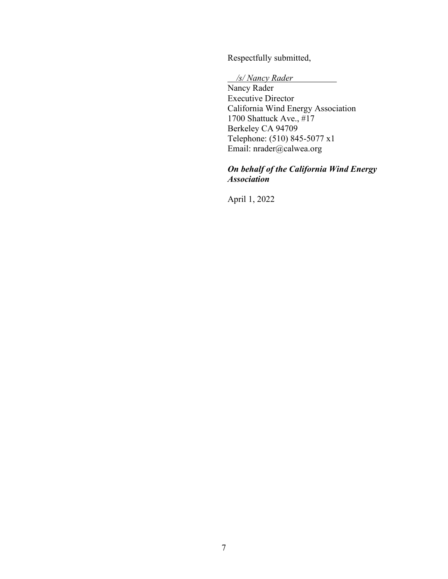Respectfully submitted,

## */s/ Nancy Rader*

Nancy Rader Executive Director California Wind Energy Association 1700 Shattuck Ave., #17 Berkeley CA 94709 Telephone: (510) 845-5077 x1 Email: nrader@calwea.org

# *On behalf of the California Wind Energy Association*

April 1, 2022